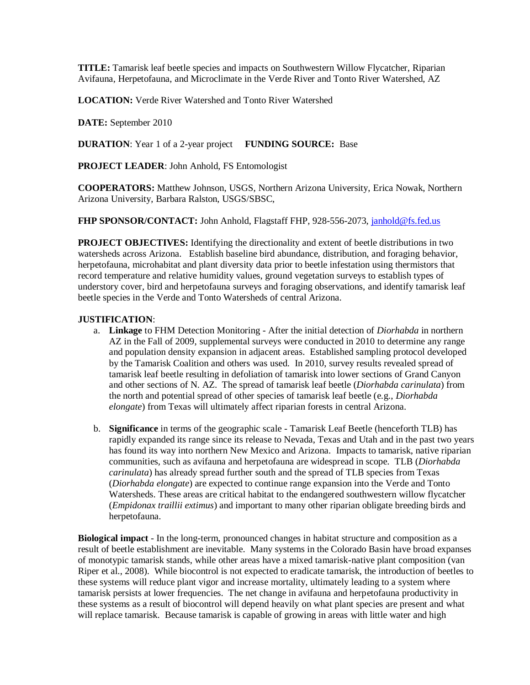**TITLE:** Tamarisk leaf beetle species and impacts on Southwestern Willow Flycatcher, Riparian Avifauna, Herpetofauna, and Microclimate in the Verde River and Tonto River Watershed, AZ

**LOCATION:** Verde River Watershed and Tonto River Watershed

**DATE:** September 2010

**DURATION**: Year 1 of a 2-year project **FUNDING SOURCE:** Base

**PROJECT LEADER**: John Anhold, FS Entomologist

**COOPERATORS:** Matthew Johnson, USGS, Northern Arizona University, Erica Nowak, Northern Arizona University, Barbara Ralston, USGS/SBSC,

**FHP SPONSOR/CONTACT:** John Anhold, Flagstaff FHP, 928-556-2073[, janhold@fs.fed.us](mailto:janhold@fs.fed.us)

**PROJECT OBJECTIVES:** Identifying the directionality and extent of beetle distributions in two watersheds across Arizona. Establish baseline bird abundance, distribution, and foraging behavior, herpetofauna, microhabitat and plant diversity data prior to beetle infestation using thermistors that record temperature and relative humidity values, ground vegetation surveys to establish types of understory cover, bird and herpetofauna surveys and foraging observations, and identify tamarisk leaf beetle species in the Verde and Tonto Watersheds of central Arizona.

#### **JUSTIFICATION**:

- a. **Linkage** to FHM Detection Monitoring After the initial detection of *Diorhabda* in northern AZ in the Fall of 2009, supplemental surveys were conducted in 2010 to determine any range and population density expansion in adjacent areas. Established sampling protocol developed by the Tamarisk Coalition and others was used. In 2010, survey results revealed spread of tamarisk leaf beetle resulting in defoliation of tamarisk into lower sections of Grand Canyon and other sections of N. AZ. The spread of tamarisk leaf beetle (*Diorhabda carinulata*) from the north and potential spread of other species of tamarisk leaf beetle (e.g., *Diorhabda elongate*) from Texas will ultimately affect riparian forests in central Arizona.
- b. **Significance** in terms of the geographic scale Tamarisk Leaf Beetle (henceforth TLB) has rapidly expanded its range since its release to Nevada, Texas and Utah and in the past two years has found its way into northern New Mexico and Arizona. Impacts to tamarisk, native riparian communities, such as avifauna and herpetofauna are widespread in scope. TLB (*Diorhabda carinulata*) has already spread further south and the spread of TLB species from Texas (*Diorhabda elongate*) are expected to continue range expansion into the Verde and Tonto Watersheds. These areas are critical habitat to the endangered southwestern willow flycatcher (*Empidonax traillii extimus*) and important to many other riparian obligate breeding birds and herpetofauna.

**Biological impact** - In the long-term, pronounced changes in habitat structure and composition as a result of beetle establishment are inevitable. Many systems in the Colorado Basin have broad expanses of monotypic tamarisk stands, while other areas have a mixed tamarisk-native plant composition (van Riper et al., 2008). While biocontrol is not expected to eradicate tamarisk, the introduction of beetles to these systems will reduce plant vigor and increase mortality, ultimately leading to a system where tamarisk persists at lower frequencies. The net change in avifauna and herpetofauna productivity in these systems as a result of biocontrol will depend heavily on what plant species are present and what will replace tamarisk. Because tamarisk is capable of growing in areas with little water and high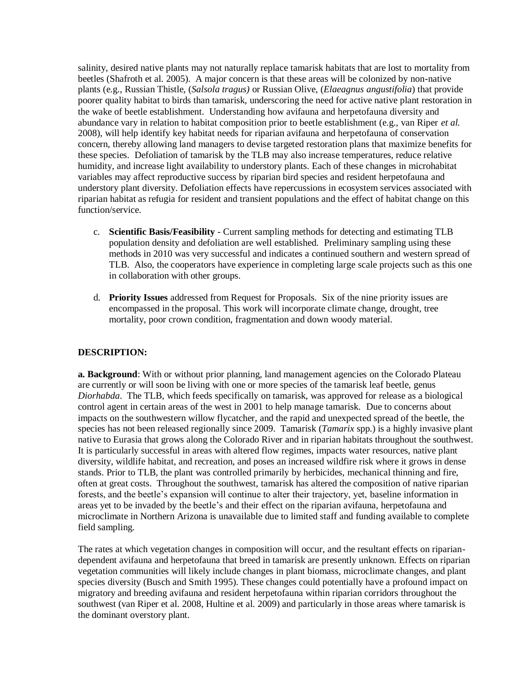salinity, desired native plants may not naturally replace tamarisk habitats that are lost to mortality from beetles (Shafroth et al. 2005). A major concern is that these areas will be colonized by non-native plants (e.g., Russian Thistle, (*Salsola tragus)* or Russian Olive, (*Elaeagnus angustifolia*) that provide poorer quality habitat to birds than tamarisk, underscoring the need for active native plant restoration in the wake of beetle establishment. Understanding how avifauna and herpetofauna diversity and abundance vary in relation to habitat composition prior to beetle establishment (e.g., van Riper *et al.* 2008), will help identify key habitat needs for riparian avifauna and herpetofauna of conservation concern, thereby allowing land managers to devise targeted restoration plans that maximize benefits for these species. Defoliation of tamarisk by the TLB may also increase temperatures, reduce relative humidity, and increase light availability to understory plants. Each of these changes in microhabitat variables may affect reproductive success by riparian bird species and resident herpetofauna and understory plant diversity. Defoliation effects have repercussions in ecosystem services associated with riparian habitat as refugia for resident and transient populations and the effect of habitat change on this function/service.

- c. **Scientific Basis/Feasibility** Current sampling methods for detecting and estimating TLB population density and defoliation are well established. Preliminary sampling using these methods in 2010 was very successful and indicates a continued southern and western spread of TLB. Also, the cooperators have experience in completing large scale projects such as this one in collaboration with other groups.
- d. **Priority Issues** addressed from Request for Proposals. Six of the nine priority issues are encompassed in the proposal. This work will incorporate climate change, drought, tree mortality, poor crown condition, fragmentation and down woody material.

# **DESCRIPTION:**

**a. Background**: With or without prior planning, land management agencies on the Colorado Plateau are currently or will soon be living with one or more species of the tamarisk leaf beetle, genus *Diorhabda*. The TLB, which feeds specifically on tamarisk, was approved for release as a biological control agent in certain areas of the west in 2001 to help manage tamarisk. Due to concerns about impacts on the southwestern willow flycatcher, and the rapid and unexpected spread of the beetle, the species has not been released regionally since 2009. Tamarisk (*Tamarix* spp.) is a highly invasive plant native to Eurasia that grows along the Colorado River and in riparian habitats throughout the southwest. It is particularly successful in areas with altered flow regimes, impacts water resources, native plant diversity, wildlife habitat, and recreation, and poses an increased wildfire risk where it grows in dense stands. Prior to TLB, the plant was controlled primarily by herbicides, mechanical thinning and fire, often at great costs. Throughout the southwest, tamarisk has altered the composition of native riparian forests, and the beetle's expansion will continue to alter their trajectory, yet, baseline information in areas yet to be invaded by the beetle's and their effect on the riparian avifauna, herpetofauna and microclimate in Northern Arizona is unavailable due to limited staff and funding available to complete field sampling.

The rates at which vegetation changes in composition will occur, and the resultant effects on ripariandependent avifauna and herpetofauna that breed in tamarisk are presently unknown. Effects on riparian vegetation communities will likely include changes in plant biomass, microclimate changes, and plant species diversity (Busch and Smith 1995). These changes could potentially have a profound impact on migratory and breeding avifauna and resident herpetofauna within riparian corridors throughout the southwest (van Riper et al. 2008, Hultine et al. 2009) and particularly in those areas where tamarisk is the dominant overstory plant.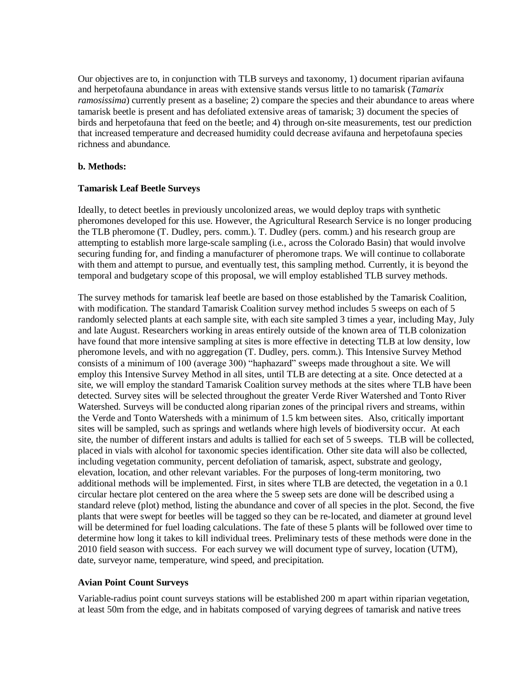Our objectives are to, in conjunction with TLB surveys and taxonomy, 1) document riparian avifauna and herpetofauna abundance in areas with extensive stands versus little to no tamarisk (*Tamarix ramosissima*) currently present as a baseline; 2) compare the species and their abundance to areas where tamarisk beetle is present and has defoliated extensive areas of tamarisk; 3) document the species of birds and herpetofauna that feed on the beetle; and 4) through on-site measurements, test our prediction that increased temperature and decreased humidity could decrease avifauna and herpetofauna species richness and abundance.

## **b. Methods:**

## **Tamarisk Leaf Beetle Surveys**

Ideally, to detect beetles in previously uncolonized areas, we would deploy traps with synthetic pheromones developed for this use. However, the Agricultural Research Service is no longer producing the TLB pheromone (T. Dudley, pers. comm.). T. Dudley (pers. comm.) and his research group are attempting to establish more large-scale sampling (i.e., across the Colorado Basin) that would involve securing funding for, and finding a manufacturer of pheromone traps. We will continue to collaborate with them and attempt to pursue, and eventually test, this sampling method. Currently, it is beyond the temporal and budgetary scope of this proposal, we will employ established TLB survey methods.

The survey methods for tamarisk leaf beetle are based on those established by the Tamarisk Coalition, with modification. The standard Tamarisk Coalition survey method includes 5 sweeps on each of 5 randomly selected plants at each sample site, with each site sampled 3 times a year, including May, July and late August. Researchers working in areas entirely outside of the known area of TLB colonization have found that more intensive sampling at sites is more effective in detecting TLB at low density, low pheromone levels, and with no aggregation (T. Dudley, pers. comm.). This Intensive Survey Method consists of a minimum of 100 (average 300) "haphazard" sweeps made throughout a site. We will employ this Intensive Survey Method in all sites, until TLB are detecting at a site. Once detected at a site, we will employ the standard Tamarisk Coalition survey methods at the sites where TLB have been detected. Survey sites will be selected throughout the greater Verde River Watershed and Tonto River Watershed. Surveys will be conducted along riparian zones of the principal rivers and streams, within the Verde and Tonto Watersheds with a minimum of 1.5 km between sites. Also, critically important sites will be sampled, such as springs and wetlands where high levels of biodiversity occur. At each site, the number of different instars and adults is tallied for each set of 5 sweeps. TLB will be collected, placed in vials with alcohol for taxonomic species identification. Other site data will also be collected, including vegetation community, percent defoliation of tamarisk, aspect, substrate and geology, elevation, location, and other relevant variables. For the purposes of long-term monitoring, two additional methods will be implemented. First, in sites where TLB are detected, the vegetation in a 0.1 circular hectare plot centered on the area where the 5 sweep sets are done will be described using a standard releve (plot) method, listing the abundance and cover of all species in the plot. Second, the five plants that were swept for beetles will be tagged so they can be re-located, and diameter at ground level will be determined for fuel loading calculations. The fate of these 5 plants will be followed over time to determine how long it takes to kill individual trees. Preliminary tests of these methods were done in the 2010 field season with success. For each survey we will document type of survey, location (UTM), date, surveyor name, temperature, wind speed, and precipitation.

# **Avian Point Count Surveys**

Variable-radius point count surveys stations will be established 200 m apart within riparian vegetation, at least 50m from the edge, and in habitats composed of varying degrees of tamarisk and native trees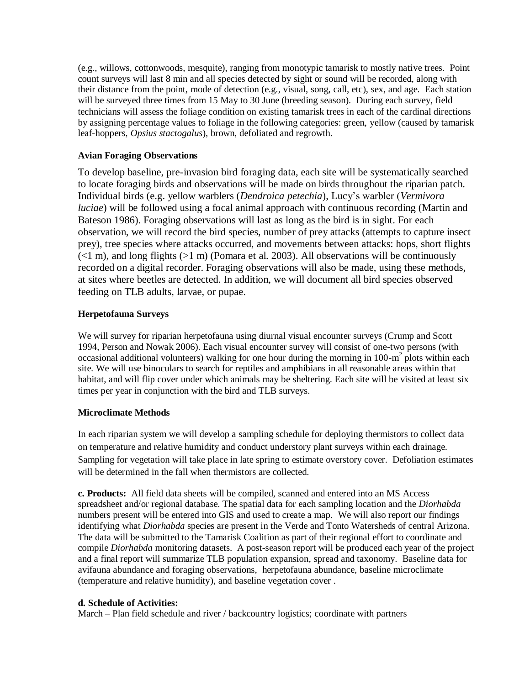(e.g., willows, cottonwoods, mesquite), ranging from monotypic tamarisk to mostly native trees. Point count surveys will last 8 min and all species detected by sight or sound will be recorded, along with their distance from the point, mode of detection (e.g., visual, song, call, etc), sex, and age. Each station will be surveyed three times from 15 May to 30 June (breeding season). During each survey, field technicians will assess the foliage condition on existing tamarisk trees in each of the cardinal directions by assigning percentage values to foliage in the following categories: green, yellow (caused by tamarisk leaf-hoppers, *Opsius stactogalus*), brown, defoliated and regrowth.

## **Avian Foraging Observations**

To develop baseline, pre-invasion bird foraging data, each site will be systematically searched to locate foraging birds and observations will be made on birds throughout the riparian patch. Individual birds (e.g. yellow warblers (*Dendroica petechia*), Lucy's warbler (*Vermivora luciae*) will be followed using a focal animal approach with continuous recording (Martin and Bateson 1986). Foraging observations will last as long as the bird is in sight. For each observation, we will record the bird species, number of prey attacks (attempts to capture insect prey), tree species where attacks occurred, and movements between attacks: hops, short flights  $(\leq 1 \text{ m})$ , and long flights  $(\geq 1 \text{ m})$  (Pomara et al. 2003). All observations will be continuously recorded on a digital recorder. Foraging observations will also be made, using these methods, at sites where beetles are detected. In addition, we will document all bird species observed feeding on TLB adults, larvae, or pupae.

# **Herpetofauna Surveys**

We will survey for riparian herpetofauna using diurnal visual encounter surveys (Crump and Scott 1994, Person and Nowak 2006). Each visual encounter survey will consist of one-two persons (with occasional additional volunteers) walking for one hour during the morning in 100-m<sup>2</sup> plots within each site. We will use binoculars to search for reptiles and amphibians in all reasonable areas within that habitat, and will flip cover under which animals may be sheltering. Each site will be visited at least six times per year in conjunction with the bird and TLB surveys.

# **Microclimate Methods**

In each riparian system we will develop a sampling schedule for deploying thermistors to collect data on temperature and relative humidity and conduct understory plant surveys within each drainage. Sampling for vegetation will take place in late spring to estimate overstory cover. Defoliation estimates will be determined in the fall when thermistors are collected.

**c. Products:** All field data sheets will be compiled, scanned and entered into an MS Access spreadsheet and/or regional database. The spatial data for each sampling location and the *Diorhabda* numbers present will be entered into GIS and used to create a map. We will also report our findings identifying what *Diorhabda* species are present in the Verde and Tonto Watersheds of central Arizona. The data will be submitted to the Tamarisk Coalition as part of their regional effort to coordinate and compile *Diorhabda* monitoring datasets. A post-season report will be produced each year of the project and a final report will summarize TLB population expansion, spread and taxonomy. Baseline data for avifauna abundance and foraging observations, herpetofauna abundance, baseline microclimate (temperature and relative humidity), and baseline vegetation cover .

### **d. Schedule of Activities:**

March – Plan field schedule and river / backcountry logistics; coordinate with partners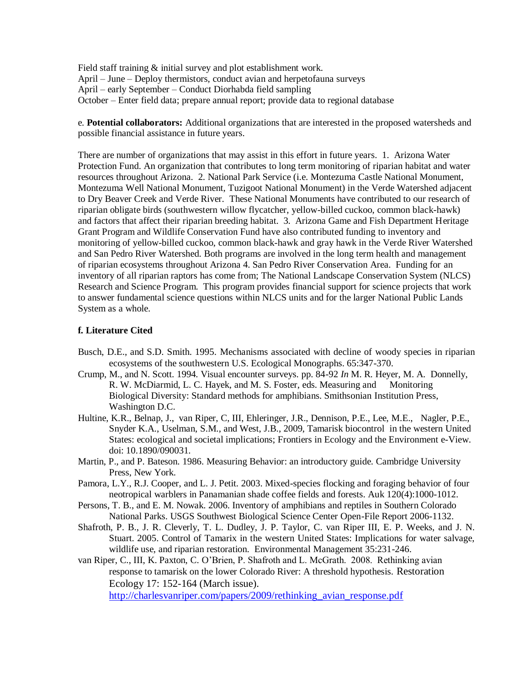Field staff training & initial survey and plot establishment work. April – June – Deploy thermistors, conduct avian and herpetofauna surveys April – early September – Conduct Diorhabda field sampling October – Enter field data; prepare annual report; provide data to regional database

e. **Potential collaborators:** Additional organizations that are interested in the proposed watersheds and possible financial assistance in future years.

There are number of organizations that may assist in this effort in future years. 1. Arizona Water Protection Fund. An organization that contributes to long term monitoring of riparian habitat and water resources throughout Arizona. 2. National Park Service (i.e. Montezuma Castle National Monument, Montezuma Well National Monument, Tuzigoot National Monument) in the Verde Watershed adjacent to Dry Beaver Creek and Verde River. These National Monuments have contributed to our research of riparian obligate birds (southwestern willow flycatcher, yellow-billed cuckoo, common black-hawk) and factors that affect their riparian breeding habitat. 3. Arizona Game and Fish Department Heritage Grant Program and Wildlife Conservation Fund have also contributed funding to inventory and monitoring of yellow-billed cuckoo, common black-hawk and gray hawk in the Verde River Watershed and San Pedro River Watershed. Both programs are involved in the long term health and management of riparian ecosystems throughout Arizona 4. San Pedro River Conservation Area. Funding for an inventory of all riparian raptors has come from; The National Landscape Conservation System (NLCS) Research and Science Program. This program provides financial support for science projects that work to answer fundamental science questions within NLCS units and for the larger National Public Lands System as a whole.

#### **f. Literature Cited**

- Busch, D.E., and S.D. Smith. 1995. Mechanisms associated with decline of woody species in riparian ecosystems of the southwestern U.S. Ecological Monographs. 65:347-370.
- Crump, M., and N. Scott. 1994. Visual encounter surveys. pp. 84-92 *In* M. R. Heyer, M. A. Donnelly, R. W. McDiarmid, L. C. Hayek, and M. S. Foster, eds. Measuring and Monitoring Biological Diversity: Standard methods for amphibians. Smithsonian Institution Press, Washington D.C.
- Hultine, K.R., Belnap, J., van Riper, C, III, Ehleringer, J.R., Dennison, P.E., Lee, M.E., Nagler, P.E., Snyder K.A., Uselman, S.M., and West, J.B., 2009, Tamarisk biocontrol in the western United States: ecological and societal implications; Frontiers in Ecology and the Environment e-View. doi: 10.1890/090031.
- Martin, P., and P. Bateson. 1986. Measuring Behavior: an introductory guide. Cambridge University Press, New York.
- Pamora, L.Y., R.J. Cooper, and L. J. Petit. 2003. Mixed-species flocking and foraging behavior of four neotropical warblers in Panamanian shade coffee fields and forests. Auk 120(4):1000-1012.
- Persons, T. B., and E. M. Nowak. 2006. Inventory of amphibians and reptiles in Southern Colorado National Parks. USGS Southwest Biological Science Center Open-File Report 2006-1132.
- Shafroth, P. B., J. R. Cleverly, T. L. Dudley, J. P. Taylor, C. van Riper III, E. P. Weeks, and J. N. Stuart. 2005. Control of Tamarix in the western United States: Implications for water salvage, wildlife use, and riparian restoration. Environmental Management 35:231-246.
- van Riper, C., III, K. Paxton, C. O'Brien, P. Shafroth and L. McGrath. 2008. Rethinking avian response to tamarisk on the lower Colorado River: A threshold hypothesis. Restoration Ecology 17: 152-164 (March issue).

http://charlesvanriper.com/papers/2009/rethinking avian response.pdf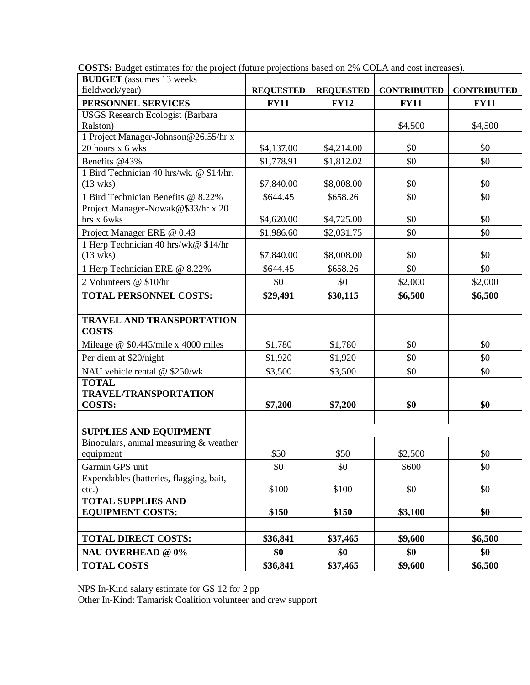| <b>BUDGET</b> (assumes 13 weeks)         |                  |                  |                    |                    |
|------------------------------------------|------------------|------------------|--------------------|--------------------|
| fieldwork/year)                          | <b>REQUESTED</b> | <b>REQUESTED</b> | <b>CONTRIBUTED</b> | <b>CONTRIBUTED</b> |
| PERSONNEL SERVICES                       | <b>FY11</b>      | <b>FY12</b>      | <b>FY11</b>        | <b>FY11</b>        |
| <b>USGS Research Ecologist (Barbara</b>  |                  |                  |                    |                    |
| Ralston)                                 |                  |                  | \$4,500            | \$4,500            |
| 1 Project Manager-Johnson@26.55/hr x     |                  |                  |                    |                    |
| 20 hours x 6 wks                         | \$4,137.00       | \$4,214.00       | \$0                | \$0                |
| Benefits @43%                            | \$1,778.91       | \$1,812.02       | \$0                | \$0                |
| 1 Bird Technician 40 hrs/wk. @ \$14/hr.  |                  |                  |                    |                    |
| $(13 \text{ wks})$                       | \$7,840.00       | \$8,008.00       | \$0                | \$0                |
| 1 Bird Technician Benefits @ 8.22%       | \$644.45         | \$658.26         | \$0                | \$0                |
| Project Manager-Nowak@\$33/hr x 20       |                  |                  |                    |                    |
| hrs x 6wks                               | \$4,620.00       | \$4,725.00       | \$0                | \$0                |
| Project Manager ERE @ 0.43               | \$1,986.60       | \$2,031.75       | \$0                | \$0                |
| 1 Herp Technician 40 hrs/wk@ \$14/hr     |                  |                  |                    |                    |
| $(13$ wks)                               | \$7,840.00       | \$8,008.00       | \$0                | \$0                |
| 1 Herp Technician ERE @ 8.22%            | \$644.45         | \$658.26         | \$0                | \$0                |
| 2 Volunteers @ \$10/hr                   | \$0              | \$0              | \$2,000            | \$2,000            |
| <b>TOTAL PERSONNEL COSTS:</b>            | \$29,491         | \$30,115         | \$6,500            | \$6,500            |
|                                          |                  |                  |                    |                    |
| <b>TRAVEL AND TRANSPORTATION</b>         |                  |                  |                    |                    |
| <b>COSTS</b>                             |                  |                  |                    |                    |
| Mileage @ \$0.445/mile x 4000 miles      | \$1,780          | \$1,780          | \$0                | \$0                |
| Per diem at \$20/night                   | \$1,920          | \$1,920          | \$0                | \$0                |
| NAU vehicle rental @ \$250/wk            | \$3,500          | \$3,500          | \$0                | \$0                |
| <b>TOTAL</b>                             |                  |                  |                    |                    |
| <b>TRAVEL/TRANSPORTATION</b>             |                  |                  |                    |                    |
| <b>COSTS:</b>                            | \$7,200          | \$7,200          | \$0                | \$0                |
|                                          |                  |                  |                    |                    |
| <b>SUPPLIES AND EQUIPMENT</b>            |                  |                  |                    |                    |
| Binoculars, animal measuring $&$ weather |                  |                  |                    |                    |
| equipment                                | \$50             | \$50             | \$2,500            | \$0                |
| Garmin GPS unit                          | \$0              | \$0              | \$600              | \$0                |
| Expendables (batteries, flagging, bait,  |                  |                  |                    |                    |
| $etc.$ )                                 | \$100            | \$100            | \$0                | \$0                |
| <b>TOTAL SUPPLIES AND</b>                |                  |                  |                    |                    |
| <b>EQUIPMENT COSTS:</b>                  | \$150            | \$150            | \$3,100            | \$0                |
|                                          |                  |                  |                    |                    |
| <b>TOTAL DIRECT COSTS:</b>               | \$36,841         | \$37,465         | \$9,600            | \$6,500            |
| <b>NAU OVERHEAD @ 0%</b>                 | \$0              | \$0              | \$0                | \$0                |
| <b>TOTAL COSTS</b>                       | \$36,841         | \$37,465         | \$9,600            | \$6,500            |

**COSTS:** Budget estimates for the project (future projections based on 2% COLA and cost increases).

NPS In-Kind salary estimate for GS 12 for 2 pp

Other In-Kind: Tamarisk Coalition volunteer and crew support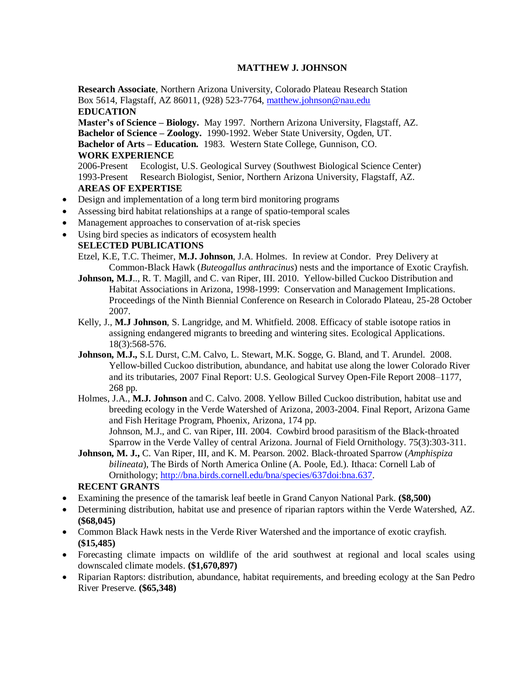### **MATTHEW J. JOHNSON**

Research Associate, Northern Arizona University, Colorado Plateau Research Station Box 5614, Flagstaff, AZ 86011, (928) 523-7764, [matthew.johnson@nau.edu](mailto:matthew.johnson@nau.edu) **EDUCATION Master's of Science – Biology.** May 1997. Northern Arizona University, Flagstaff, AZ. **Bachelor of Science – Zoology.** 1990-1992. Weber State University, Ogden, UT. **Bachelor of Arts – Education.** 1983. Western State College, Gunnison, CO. **WORK EXPERIENCE**

2006-Present Ecologist, U.S. Geological Survey (Southwest Biological Science Center) 1993-Present Research Biologist, Senior, Northern Arizona University, Flagstaff, AZ. **AREAS OF EXPERTISE**

- Design and implementation of a long term bird monitoring programs
- Assessing bird habitat relationships at a range of spatio-temporal scales
- Management approaches to conservation of at-risk species
- Using bird species as indicators of ecosystem health

### **SELECTED PUBLICATIONS**

- Etzel, K.E, T.C. Theimer, **M.J. Johnson**, J.A. Holmes. In review at Condor. Prey Delivery at Common-Black Hawk (*Buteogallus anthracinus*) nests and the importance of Exotic Crayfish.
- **Johnson, M.J**.., R. T. Magill, and C. van Riper, III. 2010. Yellow-billed Cuckoo Distribution and Habitat Associations in Arizona, 1998-1999: Conservation and Management Implications. Proceedings of the Ninth Biennial Conference on Research in Colorado Plateau, 25-28 October 2007.
- Kelly, J., **M.J Johnson**, S. Langridge, and M. Whitfield. 2008. Efficacy of stable isotope ratios in assigning endangered migrants to breeding and wintering sites. Ecological Applications. 18(3):568-576.
- **Johnson, M.J.,** S.L Durst, C.M. Calvo, L. Stewart, M.K. Sogge, G. Bland, and T. Arundel. 2008. Yellow-billed Cuckoo distribution, abundance, and habitat use along the lower Colorado River and its tributaries, 2007 Final Report: U.S. Geological Survey Open-File Report 2008–1177, 268 pp.
- Holmes, J.A., **M.J. Johnson** and C. Calvo. 2008. Yellow Billed Cuckoo distribution, habitat use and breeding ecology in the Verde Watershed of Arizona, 2003-2004. Final Report, Arizona Game and Fish Heritage Program, Phoenix, Arizona, 174 pp. Johnson, M.J., and C. van Riper, III. 2004. Cowbird brood parasitism of the Black-throated

Sparrow in the Verde Valley of central Arizona. Journal of Field Ornithology. 75(3):303-311. **Johnson, M. J.,** C. Van Riper, III, and K. M. Pearson. 2002. Black-throated Sparrow (*Amphispiza*

*bilineata*), The Birds of North America Online (A. Poole, Ed.). Ithaca: Cornell Lab of Ornithology; [http://bna.birds.cornell.edu/bna/species/637doi:bna.637.](http://bna.birds.cornell.edu/bna/species/637)

### **RECENT GRANTS**

- Examining the presence of the tamarisk leaf beetle in Grand Canyon National Park. **(\$8,500)**
- Determining distribution, habitat use and presence of riparian raptors within the Verde Watershed, AZ. **(\$68,045)**
- Common Black Hawk nests in the Verde River Watershed and the importance of exotic crayfish. **(\$15,485)**
- Forecasting climate impacts on wildlife of the arid southwest at regional and local scales using downscaled climate models. **(\$1,670,897)**
- Riparian Raptors: distribution, abundance, habitat requirements, and breeding ecology at the San Pedro River Preserve. **(\$65,348)**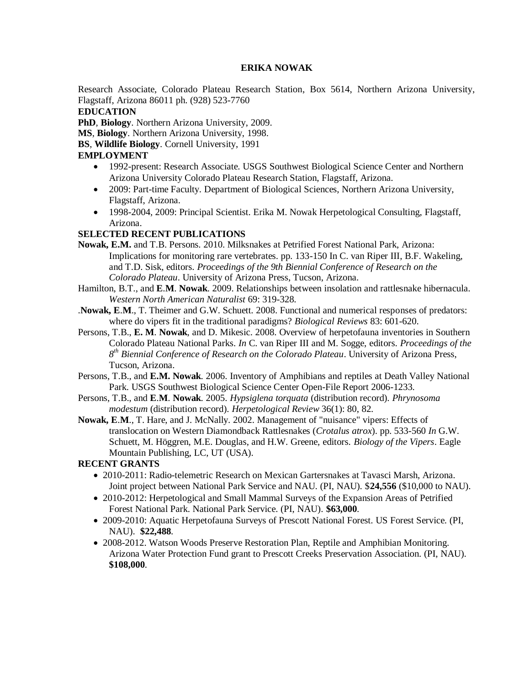### **ERIKA NOWAK**

Research Associate, Colorado Plateau Research Station, Box 5614, Northern Arizona University, Flagstaff, Arizona 86011 ph. (928) 523-7760

### **EDUCATION**

**PhD**, **Biology**. Northern Arizona University, 2009.

**MS**, **Biology**. Northern Arizona University, 1998.

**BS**, **Wildlife Biology**. Cornell University, 1991

### **EMPLOYMENT**

- 1992-present: Research Associate. USGS Southwest Biological Science Center and Northern Arizona University Colorado Plateau Research Station, Flagstaff, Arizona.
- 2009: Part-time Faculty. Department of Biological Sciences, Northern Arizona University, Flagstaff, Arizona.
- 1998-2004, 2009: Principal Scientist. Erika M. Nowak Herpetological Consulting, Flagstaff, Arizona.

## **SELECTED RECENT PUBLICATIONS**

- **Nowak, E.M.** and T.B. Persons. 2010. Milksnakes at Petrified Forest National Park, Arizona: Implications for monitoring rare vertebrates. pp. 133-150 In C. van Riper III, B.F. Wakeling, and T.D. Sisk, editors. *Proceedings of the 9th Biennial Conference of Research on the Colorado Plateau*. University of Arizona Press, Tucson, Arizona.
- Hamilton, B.T., and **E**.**M**. **Nowak**. 2009. Relationships between insolation and rattlesnake hibernacula. *Western North American Naturalist* 69: 319-328.
- .**Nowak, E**.**M**., T. Theimer and G.W. Schuett. 2008. Functional and numerical responses of predators: where do vipers fit in the traditional paradigms? *Biological Reviews* 83: 601-620.
- Persons, T.B., **E. M**. **Nowak**, and D. Mikesic. 2008. Overview of herpetofauna inventories in Southern Colorado Plateau National Parks. *In* C. van Riper III and M. Sogge, editors. *Proceedings of the 8 th Biennial Conference of Research on the Colorado Plateau*. University of Arizona Press, Tucson, Arizona.
- Persons, T.B., and **E.M. Nowak**. 2006. Inventory of Amphibians and reptiles at Death Valley National Park. USGS Southwest Biological Science Center Open-File Report 2006-1233.
- Persons, T.B., and **E**.**M**. **Nowak**. 2005. *Hypsiglena torquata* (distribution record). *Phrynosoma modestum* (distribution record). *Herpetological Review* 36(1): 80, 82.
- **Nowak, E**.**M**., T. Hare, and J. McNally. 2002. Management of "nuisance" vipers: Effects of translocation on Western Diamondback Rattlesnakes (*Crotalus atrox*). pp. 533-560 *In* G.W. Schuett, M. Höggren, M.E. Douglas, and H.W. Greene, editors. *Biology of the Vipers*. Eagle Mountain Publishing, LC, UT (USA).

# **RECENT GRANTS**

- 2010-2011: Radio-telemetric Research on Mexican Gartersnakes at Tavasci Marsh, Arizona. Joint project between National Park Service and NAU. (PI, NAU). \$**24,556** (\$10,000 to NAU).
- 2010-2012: Herpetological and Small Mammal Surveys of the Expansion Areas of Petrified Forest National Park. National Park Service. (PI, NAU). **\$63,000**.
- 2009-2010: Aquatic Herpetofauna Surveys of Prescott National Forest. US Forest Service. (PI, NAU). **\$22,488**.
- 2008-2012. Watson Woods Preserve Restoration Plan, Reptile and Amphibian Monitoring. Arizona Water Protection Fund grant to Prescott Creeks Preservation Association. (PI, NAU). **\$108,000**.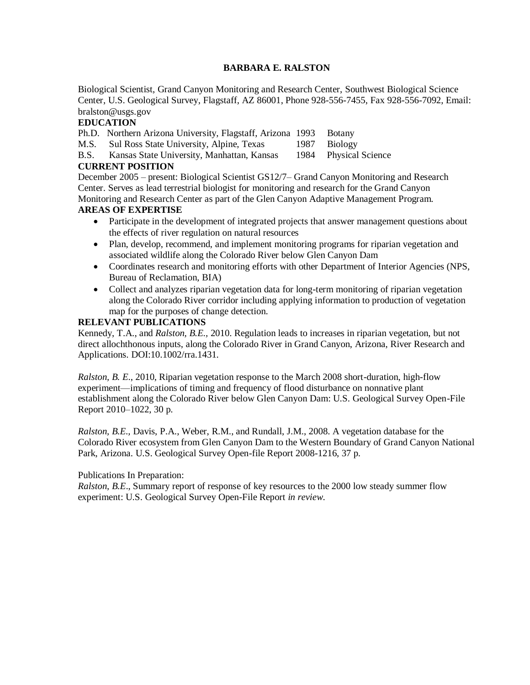### **BARBARA E. RALSTON**

Biological Scientist, Grand Canyon Monitoring and Research Center, Southwest Biological Science Center, U.S. Geological Survey, Flagstaff, AZ 86001, Phone 928-556-7455, Fax 928-556-7092, Email: bralston@usgs.gov

### **EDUCATION**

Ph.D. Northern Arizona University, Flagstaff, Arizona 1993 Botany

M.S. Sul Ross State University, Alpine, Texas 1987 Biology

B.S. Kansas State University, Manhattan, Kansas 1984 Physical Science

#### **CURRENT POSITION**

December 2005 – present: Biological Scientist GS12/7– Grand Canyon Monitoring and Research Center. Serves as lead terrestrial biologist for monitoring and research for the Grand Canyon Monitoring and Research Center as part of the Glen Canyon Adaptive Management Program.

### **AREAS OF EXPERTISE**

- Participate in the development of integrated projects that answer management questions about the effects of river regulation on natural resources
- Plan, develop, recommend, and implement monitoring programs for riparian vegetation and associated wildlife along the Colorado River below Glen Canyon Dam
- Coordinates research and monitoring efforts with other Department of Interior Agencies (NPS, Bureau of Reclamation, BIA)
- Collect and analyzes riparian vegetation data for long-term monitoring of riparian vegetation along the Colorado River corridor including applying information to production of vegetation map for the purposes of change detection.

### **RELEVANT PUBLICATIONS**

Kennedy, T.A., and *Ralston, B.E.,* 2010. Regulation leads to increases in riparian vegetation, but not direct allochthonous inputs, along the Colorado River in Grand Canyon, Arizona, River Research and Applications. DOI:10.1002/rra.1431.

*Ralston, B. E*., 2010, Riparian vegetation response to the March 2008 short-duration, high-flow experiment—implications of timing and frequency of flood disturbance on nonnative plant establishment along the Colorado River below Glen Canyon Dam: U.S. Geological Survey Open-File Report 2010–1022, 30 p.

*Ralston, B.E.,* Davis, P.A., Weber, R.M., and Rundall, J.M., 2008. A vegetation database for the Colorado River ecosystem from Glen Canyon Dam to the Western Boundary of Grand Canyon National Park, Arizona. U.S. Geological Survey Open-file Report 2008-1216, 37 p.

#### Publications In Preparation:

*Ralston, B.E*., Summary report of response of key resources to the 2000 low steady summer flow experiment: U.S. Geological Survey Open-File Report *in review*.